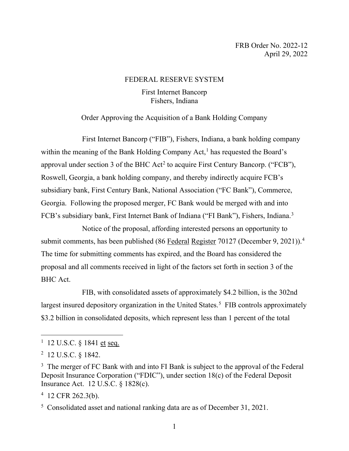# FEDERAL RESERVE SYSTEM

# First Internet Bancorp Fishers, Indiana

# Order Approving the Acquisition of a Bank Holding Company

First Internet Bancorp ("FIB"), Fishers, Indiana, a bank holding company within the meaning of the Bank Holding Company  $Act<sub>1</sub><sup>1</sup>$  $Act<sub>1</sub><sup>1</sup>$  $Act<sub>1</sub><sup>1</sup>$  has requested the Board's approval under section 3 of the BHC Act<sup>[2](#page-0-1)</sup> to acquire First Century Bancorp. ("FCB"), Roswell, Georgia, a bank holding company, and thereby indirectly acquire FCB's subsidiary bank, First Century Bank, National Association ("FC Bank"), Commerce, Georgia. Following the proposed merger, FC Bank would be merged with and into FCB's subsidiary bank, First Internet Bank of Indiana ("FI Bank"), Fishers, Indiana.<sup>[3](#page-0-2)</sup>

Notice of the proposal, affording interested persons an opportunity to submit comments, has been published (86 Federal Register 70127 (December 9, 2021)).<sup>[4](#page-0-3)</sup> The time for submitting comments has expired, and the Board has considered the proposal and all comments received in light of the factors set forth in section 3 of the BHC Act.

FIB, with consolidated assets of approximately \$4.2 billion, is the 302nd largest insured depository organization in the United States.<sup>[5](#page-0-4)</sup> FIB controls approximately \$3.2 billion in consolidated deposits, which represent less than 1 percent of the total

<span id="page-0-0"></span><sup>&</sup>lt;sup>1</sup> 12 U.S.C. § 1841 <u>et</u> seq.

<span id="page-0-1"></span><sup>2</sup> 12 U.S.C. § 1842.

<span id="page-0-2"></span><sup>&</sup>lt;sup>3</sup> The merger of FC Bank with and into FI Bank is subject to the approval of the Federal Deposit Insurance Corporation ("FDIC"), under section 18(c) of the Federal Deposit Insurance Act. 12 U.S.C. § 1828(c).

<span id="page-0-3"></span><sup>4</sup> 12 CFR 262.3(b).

<span id="page-0-4"></span><sup>&</sup>lt;sup>5</sup> Consolidated asset and national ranking data are as of December 31, 2021.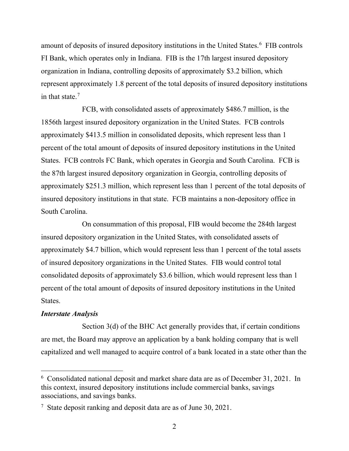amount of deposits of insured depository institutions in the United States.<sup>[6](#page-1-0)</sup> FIB controls FI Bank, which operates only in Indiana. FIB is the 17th largest insured depository organization in Indiana, controlling deposits of approximately \$3.2 billion, which represent approximately 1.8 percent of the total deposits of insured depository institutions in that state.[7](#page-1-1)

FCB, with consolidated assets of approximately \$486.7 million, is the 1856th largest insured depository organization in the United States. FCB controls approximately \$413.5 million in consolidated deposits, which represent less than 1 percent of the total amount of deposits of insured depository institutions in the United States. FCB controls FC Bank, which operates in Georgia and South Carolina. FCB is the 87th largest insured depository organization in Georgia, controlling deposits of approximately \$251.3 million, which represent less than 1 percent of the total deposits of insured depository institutions in that state. FCB maintains a non-depository office in South Carolina.

On consummation of this proposal, FIB would become the 284th largest insured depository organization in the United States, with consolidated assets of approximately \$4.7 billion, which would represent less than 1 percent of the total assets of insured depository organizations in the United States. FIB would control total consolidated deposits of approximately \$3.6 billion, which would represent less than 1 percent of the total amount of deposits of insured depository institutions in the United States.

### *Interstate Analysis*

Section 3(d) of the BHC Act generally provides that, if certain conditions are met, the Board may approve an application by a bank holding company that is well capitalized and well managed to acquire control of a bank located in a state other than the

<span id="page-1-0"></span><sup>&</sup>lt;sup>6</sup> Consolidated national deposit and market share data are as of December 31, 2021. In this context, insured depository institutions include commercial banks, savings associations, and savings banks.

<span id="page-1-1"></span><sup>&</sup>lt;sup>7</sup> State deposit ranking and deposit data are as of June 30, 2021.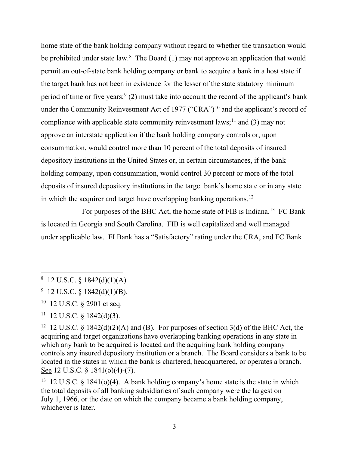home state of the bank holding company without regard to whether the transaction would be prohibited under state law. $8$  The Board  $(1)$  may not approve an application that would permit an out-of-state bank holding company or bank to acquire a bank in a host state if the target bank has not been in existence for the lesser of the state statutory minimum period of time or five years;  $9(2)$  $9(2)$  must take into account the record of the applicant's bank under the Community Reinvestment Act of 1977 ("CRA")<sup>[10](#page-2-2)</sup> and the applicant's record of compliance with applicable state community reinvestment laws;<sup>[11](#page-2-3)</sup> and (3) may not approve an interstate application if the bank holding company controls or, upon consummation, would control more than 10 percent of the total deposits of insured depository institutions in the United States or, in certain circumstances, if the bank holding company, upon consummation, would control 30 percent or more of the total deposits of insured depository institutions in the target bank's home state or in any state in which the acquirer and target have overlapping banking operations.<sup>12</sup>

For purposes of the BHC Act, the home state of FIB is Indiana.<sup>[13](#page-2-5)</sup> FC Bank is located in Georgia and South Carolina. FIB is well capitalized and well managed under applicable law. FI Bank has a "Satisfactory" rating under the CRA, and FC Bank

<span id="page-2-0"></span> $8\,$  12 U.S.C. § 1842(d)(1)(A).

<span id="page-2-1"></span> $9$  12 U.S.C. § 1842(d)(1)(B).

<span id="page-2-2"></span><sup>10 12</sup> U.S.C. § 2901 et seq.

<span id="page-2-3"></span> $11$  12 U.S.C. § 1842(d)(3).

<span id="page-2-4"></span><sup>&</sup>lt;sup>12</sup> 12 U.S.C. § 1842(d)(2)(A) and (B). For purposes of section 3(d) of the BHC Act, the acquiring and target organizations have overlapping banking operations in any state in which any bank to be acquired is located and the acquiring bank holding company controls any insured depository institution or a branch. The Board considers a bank to be located in the states in which the bank is chartered, headquartered, or operates a branch. See 12 U.S.C. § 1841(o)(4)-(7).

<span id="page-2-5"></span><sup>&</sup>lt;sup>13</sup> 12 U.S.C. § 1841(o)(4). A bank holding company's home state is the state in which the total deposits of all banking subsidiaries of such company were the largest on July 1, 1966, or the date on which the company became a bank holding company, whichever is later.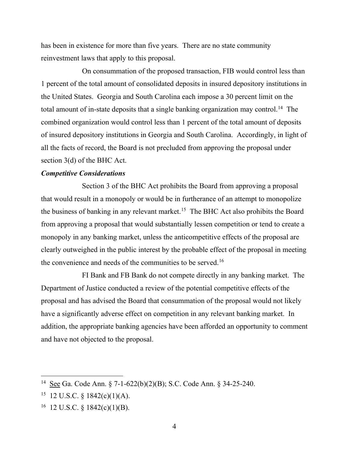has been in existence for more than five years. There are no state community reinvestment laws that apply to this proposal.

On consummation of the proposed transaction, FIB would control less than 1 percent of the total amount of consolidated deposits in insured depository institutions in the United States. Georgia and South Carolina each impose a 30 percent limit on the total amount of in-state deposits that a single banking organization may control.<sup>[14](#page-3-0)</sup> The combined organization would control less than 1 percent of the total amount of deposits of insured depository institutions in Georgia and South Carolina. Accordingly, in light of all the facts of record, the Board is not precluded from approving the proposal under section 3(d) of the BHC Act.

## *Competitive Considerations*

Section 3 of the BHC Act prohibits the Board from approving a proposal that would result in a monopoly or would be in furtherance of an attempt to monopolize the business of banking in any relevant market.<sup>15</sup> The BHC Act also prohibits the Board from approving a proposal that would substantially lessen competition or tend to create a monopoly in any banking market, unless the anticompetitive effects of the proposal are clearly outweighed in the public interest by the probable effect of the proposal in meeting the convenience and needs of the communities to be served.[16](#page-3-2)

FI Bank and FB Bank do not compete directly in any banking market. The Department of Justice conducted a review of the potential competitive effects of the proposal and has advised the Board that consummation of the proposal would not likely have a significantly adverse effect on competition in any relevant banking market. In addition, the appropriate banking agencies have been afforded an opportunity to comment and have not objected to the proposal.

<span id="page-3-0"></span><sup>14</sup> See Ga. Code Ann. § 7-1-622(b)(2)(B); S.C. Code Ann. § 34-25-240.

<span id="page-3-1"></span> $15$  12 U.S.C. § 1842(c)(1)(A).

<span id="page-3-2"></span> $16$  12 U.S.C. § 1842(c)(1)(B).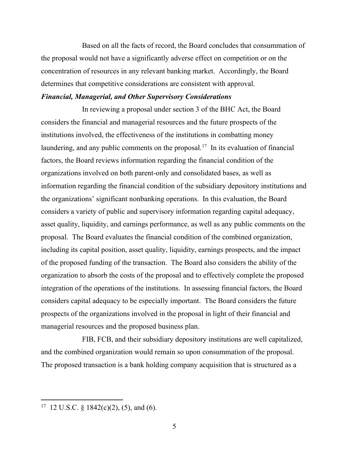Based on all the facts of record, the Board concludes that consummation of the proposal would not have a significantly adverse effect on competition or on the concentration of resources in any relevant banking market. Accordingly, the Board determines that competitive considerations are consistent with approval.

#### *Financial, Managerial, and Other Supervisory Considerations*

In reviewing a proposal under section 3 of the BHC Act, the Board considers the financial and managerial resources and the future prospects of the institutions involved, the effectiveness of the institutions in combatting money laundering, and any public comments on the proposal.<sup>17</sup> In its evaluation of financial factors, the Board reviews information regarding the financial condition of the organizations involved on both parent-only and consolidated bases, as well as information regarding the financial condition of the subsidiary depository institutions and the organizations' significant nonbanking operations. In this evaluation, the Board considers a variety of public and supervisory information regarding capital adequacy, asset quality, liquidity, and earnings performance, as well as any public comments on the proposal. The Board evaluates the financial condition of the combined organization, including its capital position, asset quality, liquidity, earnings prospects, and the impact of the proposed funding of the transaction. The Board also considers the ability of the organization to absorb the costs of the proposal and to effectively complete the proposed integration of the operations of the institutions. In assessing financial factors, the Board considers capital adequacy to be especially important. The Board considers the future prospects of the organizations involved in the proposal in light of their financial and managerial resources and the proposed business plan.

FIB, FCB, and their subsidiary depository institutions are well capitalized, and the combined organization would remain so upon consummation of the proposal. The proposed transaction is a bank holding company acquisition that is structured as a

<span id="page-4-0"></span><sup>&</sup>lt;sup>17</sup> 12 U.S.C. § 1842(c)(2), (5), and (6).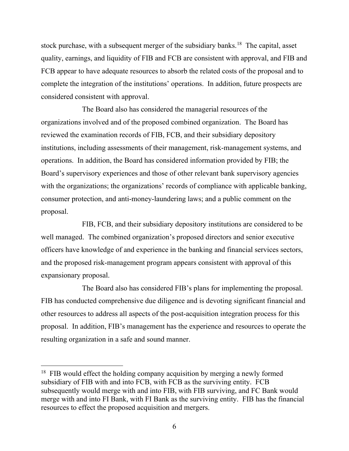stock purchase, with a subsequent merger of the subsidiary banks.<sup>[18](#page-5-0)</sup> The capital, asset quality, earnings, and liquidity of FIB and FCB are consistent with approval, and FIB and FCB appear to have adequate resources to absorb the related costs of the proposal and to complete the integration of the institutions' operations. In addition, future prospects are considered consistent with approval.

The Board also has considered the managerial resources of the organizations involved and of the proposed combined organization. The Board has reviewed the examination records of FIB, FCB, and their subsidiary depository institutions, including assessments of their management, risk-management systems, and operations. In addition, the Board has considered information provided by FIB; the Board's supervisory experiences and those of other relevant bank supervisory agencies with the organizations; the organizations' records of compliance with applicable banking, consumer protection, and anti-money-laundering laws; and a public comment on the proposal.

FIB, FCB, and their subsidiary depository institutions are considered to be well managed. The combined organization's proposed directors and senior executive officers have knowledge of and experience in the banking and financial services sectors, and the proposed risk-management program appears consistent with approval of this expansionary proposal.

The Board also has considered FIB's plans for implementing the proposal. FIB has conducted comprehensive due diligence and is devoting significant financial and other resources to address all aspects of the post-acquisition integration process for this proposal. In addition, FIB's management has the experience and resources to operate the resulting organization in a safe and sound manner.

<span id="page-5-0"></span><sup>&</sup>lt;sup>18</sup> FIB would effect the holding company acquisition by merging a newly formed subsidiary of FIB with and into FCB, with FCB as the surviving entity. FCB subsequently would merge with and into FIB, with FIB surviving, and FC Bank would merge with and into FI Bank, with FI Bank as the surviving entity. FIB has the financial resources to effect the proposed acquisition and mergers.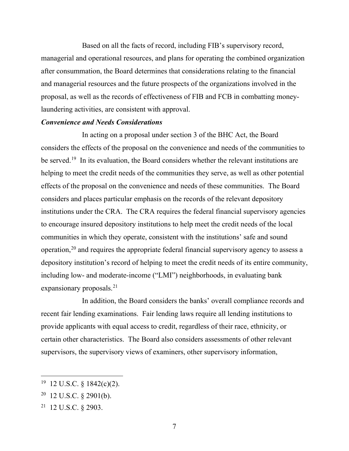Based on all the facts of record, including FIB's supervisory record, managerial and operational resources, and plans for operating the combined organization after consummation, the Board determines that considerations relating to the financial and managerial resources and the future prospects of the organizations involved in the proposal, as well as the records of effectiveness of FIB and FCB in combatting moneylaundering activities, are consistent with approval.

## *Convenience and Needs Considerations*

In acting on a proposal under section 3 of the BHC Act, the Board considers the effects of the proposal on the convenience and needs of the communities to be served.<sup>19</sup> In its evaluation, the Board considers whether the relevant institutions are helping to meet the credit needs of the communities they serve, as well as other potential effects of the proposal on the convenience and needs of these communities. The Board considers and places particular emphasis on the records of the relevant depository institutions under the CRA. The CRA requires the federal financial supervisory agencies to encourage insured depository institutions to help meet the credit needs of the local communities in which they operate, consistent with the institutions' safe and sound operation,[20](#page-6-1) and requires the appropriate federal financial supervisory agency to assess a depository institution's record of helping to meet the credit needs of its entire community, including low- and moderate-income ("LMI") neighborhoods, in evaluating bank expansionary proposals. $^{21}$  $^{21}$  $^{21}$ 

In addition, the Board considers the banks' overall compliance records and recent fair lending examinations. Fair lending laws require all lending institutions to provide applicants with equal access to credit, regardless of their race, ethnicity, or certain other characteristics. The Board also considers assessments of other relevant supervisors, the supervisory views of examiners, other supervisory information,

<span id="page-6-0"></span> $19$  12 U.S.C. § 1842(c)(2).

<span id="page-6-1"></span> $20$  12 U.S.C. § 2901(b).

<span id="page-6-2"></span><sup>21 12</sup> U.S.C. § 2903.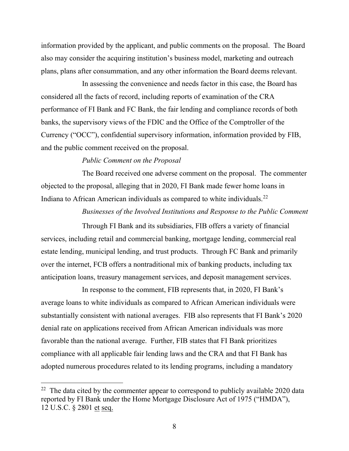information provided by the applicant, and public comments on the proposal. The Board also may consider the acquiring institution's business model, marketing and outreach plans, plans after consummation, and any other information the Board deems relevant.

In assessing the convenience and needs factor in this case, the Board has considered all the facts of record, including reports of examination of the CRA performance of FI Bank and FC Bank, the fair lending and compliance records of both banks, the supervisory views of the FDIC and the Office of the Comptroller of the Currency ("OCC"), confidential supervisory information, information provided by FIB, and the public comment received on the proposal.

# *Public Comment on the Proposal*

The Board received one adverse comment on the proposal. The commenter objected to the proposal, alleging that in 2020, FI Bank made fewer home loans in Indiana to African American individuals as compared to white individuals.<sup>[22](#page-7-0)</sup>

*Businesses of the Involved Institutions and Response to the Public Comment*

Through FI Bank and its subsidiaries, FIB offers a variety of financial services, including retail and commercial banking, mortgage lending, commercial real estate lending, municipal lending, and trust products. Through FC Bank and primarily over the internet, FCB offers a nontraditional mix of banking products, including tax anticipation loans, treasury management services, and deposit management services.

In response to the comment, FIB represents that, in 2020, FI Bank's average loans to white individuals as compared to African American individuals were substantially consistent with national averages. FIB also represents that FI Bank's 2020 denial rate on applications received from African American individuals was more favorable than the national average. Further, FIB states that FI Bank prioritizes compliance with all applicable fair lending laws and the CRA and that FI Bank has adopted numerous procedures related to its lending programs, including a mandatory

<span id="page-7-0"></span> $22$  The data cited by the commenter appear to correspond to publicly available 2020 data reported by FI Bank under the Home Mortgage Disclosure Act of 1975 ("HMDA"), 12 U.S.C. § 2801 et seq.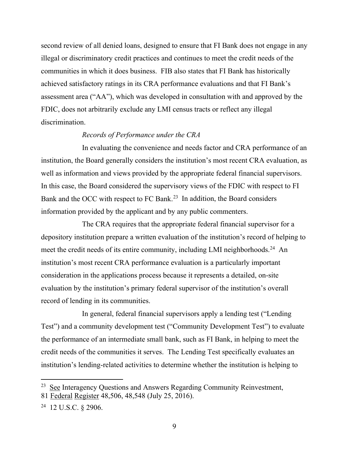second review of all denied loans, designed to ensure that FI Bank does not engage in any illegal or discriminatory credit practices and continues to meet the credit needs of the communities in which it does business. FIB also states that FI Bank has historically achieved satisfactory ratings in its CRA performance evaluations and that FI Bank's assessment area ("AA"), which was developed in consultation with and approved by the FDIC, does not arbitrarily exclude any LMI census tracts or reflect any illegal discrimination.

## *Records of Performance under the CRA*

In evaluating the convenience and needs factor and CRA performance of an institution, the Board generally considers the institution's most recent CRA evaluation, as well as information and views provided by the appropriate federal financial supervisors. In this case, the Board considered the supervisory views of the FDIC with respect to FI Bank and the OCC with respect to FC Bank. [23](#page-8-0) In addition, the Board considers information provided by the applicant and by any public commenters.

The CRA requires that the appropriate federal financial supervisor for a depository institution prepare a written evaluation of the institution's record of helping to meet the credit needs of its entire community, including LMI neighborhoods.<sup>24</sup> An institution's most recent CRA performance evaluation is a particularly important consideration in the applications process because it represents a detailed, on-site evaluation by the institution's primary federal supervisor of the institution's overall record of lending in its communities.

In general, federal financial supervisors apply a lending test ("Lending Test") and a community development test ("Community Development Test") to evaluate the performance of an intermediate small bank, such as FI Bank, in helping to meet the credit needs of the communities it serves. The Lending Test specifically evaluates an institution's lending-related activities to determine whether the institution is helping to

<span id="page-8-0"></span> $23$  See Interagency Questions and Answers Regarding Community Reinvestment, 81 Federal Register 48,506, 48,548 (July 25, 2016).

<span id="page-8-1"></span><sup>24 12</sup> U.S.C. § 2906.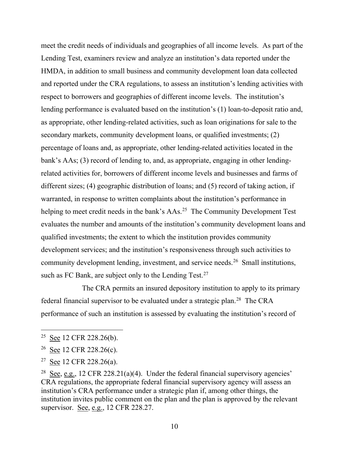meet the credit needs of individuals and geographies of all income levels. As part of the Lending Test, examiners review and analyze an institution's data reported under the HMDA, in addition to small business and community development loan data collected and reported under the CRA regulations, to assess an institution's lending activities with respect to borrowers and geographies of different income levels. The institution's lending performance is evaluated based on the institution's (1) loan-to-deposit ratio and, as appropriate, other lending-related activities, such as loan originations for sale to the secondary markets, community development loans, or qualified investments; (2) percentage of loans and, as appropriate, other lending-related activities located in the bank's AAs; (3) record of lending to, and, as appropriate, engaging in other lendingrelated activities for, borrowers of different income levels and businesses and farms of different sizes; (4) geographic distribution of loans; and (5) record of taking action, if warranted, in response to written complaints about the institution's performance in helping to meet credit needs in the bank's AAs.<sup>[25](#page-9-0)</sup> The Community Development Test evaluates the number and amounts of the institution's community development loans and qualified investments; the extent to which the institution provides community development services; and the institution's responsiveness through such activities to community development lending, investment, and service needs.[26](#page-9-1) Small institutions, such as FC Bank, are subject only to the Lending Test.<sup>[27](#page-9-2)</sup>

The CRA permits an insured depository institution to apply to its primary federal financial supervisor to be evaluated under a strategic plan.<sup>[28](#page-9-3)</sup> The CRA performance of such an institution is assessed by evaluating the institution's record of

<span id="page-9-0"></span><sup>&</sup>lt;sup>25</sup> See 12 CFR 228.26(b).

<span id="page-9-1"></span><sup>&</sup>lt;sup>26</sup> See 12 CFR 228.26(c).

<span id="page-9-2"></span><sup>&</sup>lt;sup>27</sup> See 12 CFR 228.26(a).

<span id="page-9-3"></span><sup>&</sup>lt;sup>28</sup> See, e.g., 12 CFR 228.21(a)(4). Under the federal financial supervisory agencies' CRA regulations, the appropriate federal financial supervisory agency will assess an institution's CRA performance under a strategic plan if, among other things, the institution invites public comment on the plan and the plan is approved by the relevant supervisor. See, e.g., 12 CFR 228.27.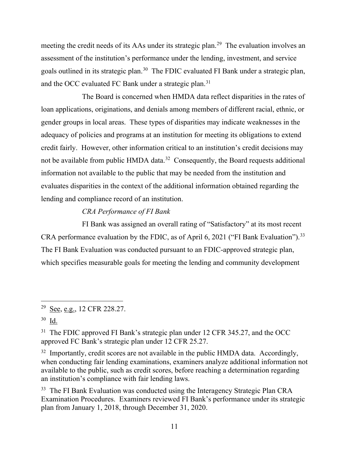meeting the credit needs of its AAs under its strategic plan.<sup>[29](#page-10-0)</sup> The evaluation involves an assessment of the institution's performance under the lending, investment, and service goals outlined in its strategic plan.<sup>[30](#page-10-1)</sup> The FDIC evaluated FI Bank under a strategic plan, and the OCC evaluated FC Bank under a strategic plan.<sup>31</sup>

The Board is concerned when HMDA data reflect disparities in the rates of loan applications, originations, and denials among members of different racial, ethnic, or gender groups in local areas. These types of disparities may indicate weaknesses in the adequacy of policies and programs at an institution for meeting its obligations to extend credit fairly. However, other information critical to an institution's credit decisions may not be available from public HMDA data.<sup>32</sup> Consequently, the Board requests additional information not available to the public that may be needed from the institution and evaluates disparities in the context of the additional information obtained regarding the lending and compliance record of an institution.

# *CRA Performance of FI Bank*

FI Bank was assigned an overall rating of "Satisfactory" at its most recent CRA performance evaluation by the FDIC, as of April 6, 2021 ("FI Bank Evaluation").<sup>[33](#page-10-4)</sup> The FI Bank Evaluation was conducted pursuant to an FDIC-approved strategic plan, which specifies measurable goals for meeting the lending and community development

<span id="page-10-3"></span> $32$  Importantly, credit scores are not available in the public HMDA data. Accordingly, when conducting fair lending examinations, examiners analyze additional information not available to the public, such as credit scores, before reaching a determination regarding an institution's compliance with fair lending laws.

<span id="page-10-4"></span><sup>33</sup> The FI Bank Evaluation was conducted using the Interagency Strategic Plan CRA Examination Procedures. Examiners reviewed FI Bank's performance under its strategic plan from January 1, 2018, through December 31, 2020.

<span id="page-10-0"></span><sup>&</sup>lt;sup>29</sup> <u>See, e.g.</u>, 12 CFR 228.27.

<span id="page-10-1"></span><sup>30</sup> Id.

<span id="page-10-2"></span><sup>&</sup>lt;sup>31</sup> The FDIC approved FI Bank's strategic plan under 12 CFR 345.27, and the OCC approved FC Bank's strategic plan under 12 CFR 25.27.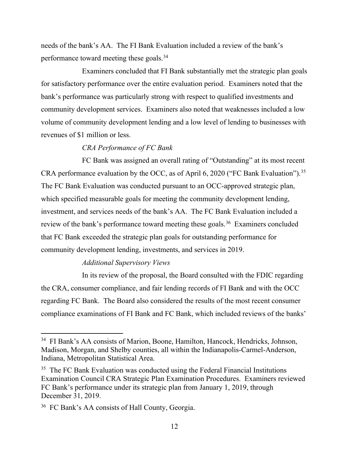needs of the bank's AA. The FI Bank Evaluation included a review of the bank's performance toward meeting these goals.[34](#page-11-0)

Examiners concluded that FI Bank substantially met the strategic plan goals for satisfactory performance over the entire evaluation period. Examiners noted that the bank's performance was particularly strong with respect to qualified investments and community development services. Examiners also noted that weaknesses included a low volume of community development lending and a low level of lending to businesses with revenues of \$1 million or less.

# *CRA Performance of FC Bank*

FC Bank was assigned an overall rating of "Outstanding" at its most recent CRA performance evaluation by the OCC, as of April 6, 2020 ("FC Bank Evaluation").<sup>35</sup> The FC Bank Evaluation was conducted pursuant to an OCC-approved strategic plan, which specified measurable goals for meeting the community development lending, investment, and services needs of the bank's AA. The FC Bank Evaluation included a review of the bank's performance toward meeting these goals.<sup>36</sup> Examiners concluded that FC Bank exceeded the strategic plan goals for outstanding performance for community development lending, investments, and services in 2019.

### *Additional Supervisory Views*

In its review of the proposal, the Board consulted with the FDIC regarding the CRA, consumer compliance, and fair lending records of FI Bank and with the OCC regarding FC Bank. The Board also considered the results of the most recent consumer compliance examinations of FI Bank and FC Bank, which included reviews of the banks'

<span id="page-11-0"></span><sup>34</sup> FI Bank's AA consists of Marion, Boone, Hamilton, Hancock, Hendricks, Johnson, Madison, Morgan, and Shelby counties, all within the Indianapolis-Carmel-Anderson, Indiana, Metropolitan Statistical Area.

<span id="page-11-1"></span><sup>&</sup>lt;sup>35</sup> The FC Bank Evaluation was conducted using the Federal Financial Institutions Examination Council CRA Strategic Plan Examination Procedures. Examiners reviewed FC Bank's performance under its strategic plan from January 1, 2019, through December 31, 2019.

<span id="page-11-2"></span><sup>36</sup> FC Bank's AA consists of Hall County, Georgia.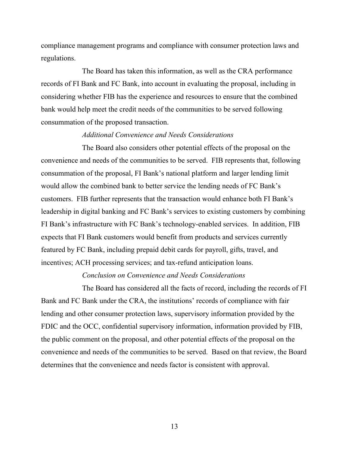compliance management programs and compliance with consumer protection laws and regulations.

The Board has taken this information, as well as the CRA performance records of FI Bank and FC Bank, into account in evaluating the proposal, including in considering whether FIB has the experience and resources to ensure that the combined bank would help meet the credit needs of the communities to be served following consummation of the proposed transaction.

#### *Additional Convenience and Needs Considerations*

The Board also considers other potential effects of the proposal on the convenience and needs of the communities to be served. FIB represents that, following consummation of the proposal, FI Bank's national platform and larger lending limit would allow the combined bank to better service the lending needs of FC Bank's customers. FIB further represents that the transaction would enhance both FI Bank's leadership in digital banking and FC Bank's services to existing customers by combining FI Bank's infrastructure with FC Bank's technology-enabled services. In addition, FIB expects that FI Bank customers would benefit from products and services currently featured by FC Bank, including prepaid debit cards for payroll, gifts, travel, and incentives; ACH processing services; and tax-refund anticipation loans.

# *Conclusion on Convenience and Needs Considerations*

The Board has considered all the facts of record, including the records of FI Bank and FC Bank under the CRA, the institutions' records of compliance with fair lending and other consumer protection laws, supervisory information provided by the FDIC and the OCC, confidential supervisory information, information provided by FIB, the public comment on the proposal, and other potential effects of the proposal on the convenience and needs of the communities to be served. Based on that review, the Board determines that the convenience and needs factor is consistent with approval.

13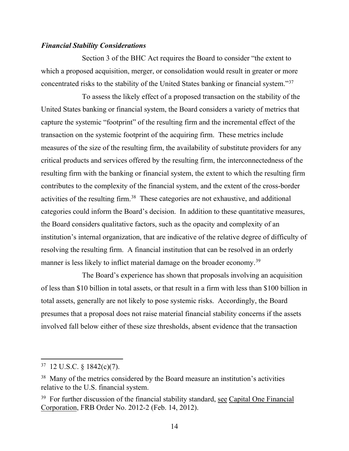### *Financial Stability Considerations*

Section 3 of the BHC Act requires the Board to consider "the extent to which a proposed acquisition, merger, or consolidation would result in greater or more concentrated risks to the stability of the United States banking or financial system."[37](#page-13-0)

To assess the likely effect of a proposed transaction on the stability of the United States banking or financial system, the Board considers a variety of metrics that capture the systemic "footprint" of the resulting firm and the incremental effect of the transaction on the systemic footprint of the acquiring firm. These metrics include measures of the size of the resulting firm, the availability of substitute providers for any critical products and services offered by the resulting firm, the interconnectedness of the resulting firm with the banking or financial system, the extent to which the resulting firm contributes to the complexity of the financial system, and the extent of the cross-border activities of the resulting firm.<sup>38</sup> These categories are not exhaustive, and additional categories could inform the Board's decision. In addition to these quantitative measures, the Board considers qualitative factors, such as the opacity and complexity of an institution's internal organization, that are indicative of the relative degree of difficulty of resolving the resulting firm. A financial institution that can be resolved in an orderly manner is less likely to inflict material damage on the broader economy.<sup>[39](#page-13-2)</sup>

The Board's experience has shown that proposals involving an acquisition of less than \$10 billion in total assets, or that result in a firm with less than \$100 billion in total assets, generally are not likely to pose systemic risks. Accordingly, the Board presumes that a proposal does not raise material financial stability concerns if the assets involved fall below either of these size thresholds, absent evidence that the transaction

<span id="page-13-0"></span> $37$  12 U.S.C. § 1842(c)(7).

<span id="page-13-1"></span><sup>&</sup>lt;sup>38</sup> Many of the metrics considered by the Board measure an institution's activities relative to the U.S. financial system.

<span id="page-13-2"></span><sup>&</sup>lt;sup>39</sup> For further discussion of the financial stability standard, see Capital One Financial Corporation, FRB Order No. 2012-2 (Feb. 14, 2012).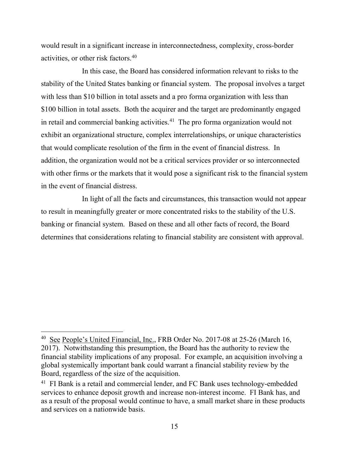would result in a significant increase in interconnectedness, complexity, cross-border activities, or other risk factors.[40](#page-14-0)

In this case, the Board has considered information relevant to risks to the stability of the United States banking or financial system. The proposal involves a target with less than \$10 billion in total assets and a pro forma organization with less than \$100 billion in total assets. Both the acquirer and the target are predominantly engaged in retail and commercial banking activities. [41](#page-14-1) The pro forma organization would not exhibit an organizational structure, complex interrelationships, or unique characteristics that would complicate resolution of the firm in the event of financial distress. In addition, the organization would not be a critical services provider or so interconnected with other firms or the markets that it would pose a significant risk to the financial system in the event of financial distress.

In light of all the facts and circumstances, this transaction would not appear to result in meaningfully greater or more concentrated risks to the stability of the U.S. banking or financial system. Based on these and all other facts of record, the Board determines that considerations relating to financial stability are consistent with approval.

<span id="page-14-0"></span><sup>40</sup> See People's United Financial, Inc., FRB Order No. 2017-08 at 25-26 (March 16, 2017). Notwithstanding this presumption, the Board has the authority to review the financial stability implications of any proposal. For example, an acquisition involving a global systemically important bank could warrant a financial stability review by the Board, regardless of the size of the acquisition.

<span id="page-14-1"></span><sup>&</sup>lt;sup>41</sup> FI Bank is a retail and commercial lender, and FC Bank uses technology-embedded services to enhance deposit growth and increase non-interest income. FI Bank has, and as a result of the proposal would continue to have, a small market share in these products and services on a nationwide basis.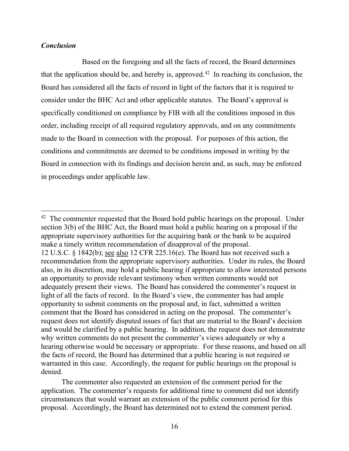# *Conclusion*

Based on the foregoing and all the facts of record, the Board determines that the application should be, and hereby is, approved.<sup>[42](#page-15-0)</sup> In reaching its conclusion, the Board has considered all the facts of record in light of the factors that it is required to consider under the BHC Act and other applicable statutes. The Board's approval is specifically conditioned on compliance by FIB with all the conditions imposed in this order, including receipt of all required regulatory approvals, and on any commitments made to the Board in connection with the proposal. For purposes of this action, the conditions and commitments are deemed to be conditions imposed in writing by the Board in connection with its findings and decision herein and, as such, may be enforced in proceedings under applicable law.

<span id="page-15-0"></span> $42$  The commenter requested that the Board hold public hearings on the proposal. Under section 3(b) of the BHC Act, the Board must hold a public hearing on a proposal if the appropriate supervisory authorities for the acquiring bank or the bank to be acquired make a timely written recommendation of disapproval of the proposal. 12 U.S.C. § 1842(b); see also 12 CFR 225.16(e). The Board has not received such a recommendation from the appropriate supervisory authorities. Under its rules, the Board also, in its discretion, may hold a public hearing if appropriate to allow interested persons an opportunity to provide relevant testimony when written comments would not adequately present their views. The Board has considered the commenter's request in light of all the facts of record. In the Board's view, the commenter has had ample opportunity to submit comments on the proposal and, in fact, submitted a written comment that the Board has considered in acting on the proposal. The commenter's request does not identify disputed issues of fact that are material to the Board's decision and would be clarified by a public hearing. In addition, the request does not demonstrate why written comments do not present the commenter's views adequately or why a hearing otherwise would be necessary or appropriate. For these reasons, and based on all the facts of record, the Board has determined that a public hearing is not required or warranted in this case. Accordingly, the request for public hearings on the proposal is denied.

The commenter also requested an extension of the comment period for the application. The commenter's requests for additional time to comment did not identify circumstances that would warrant an extension of the public comment period for this proposal. Accordingly, the Board has determined not to extend the comment period.